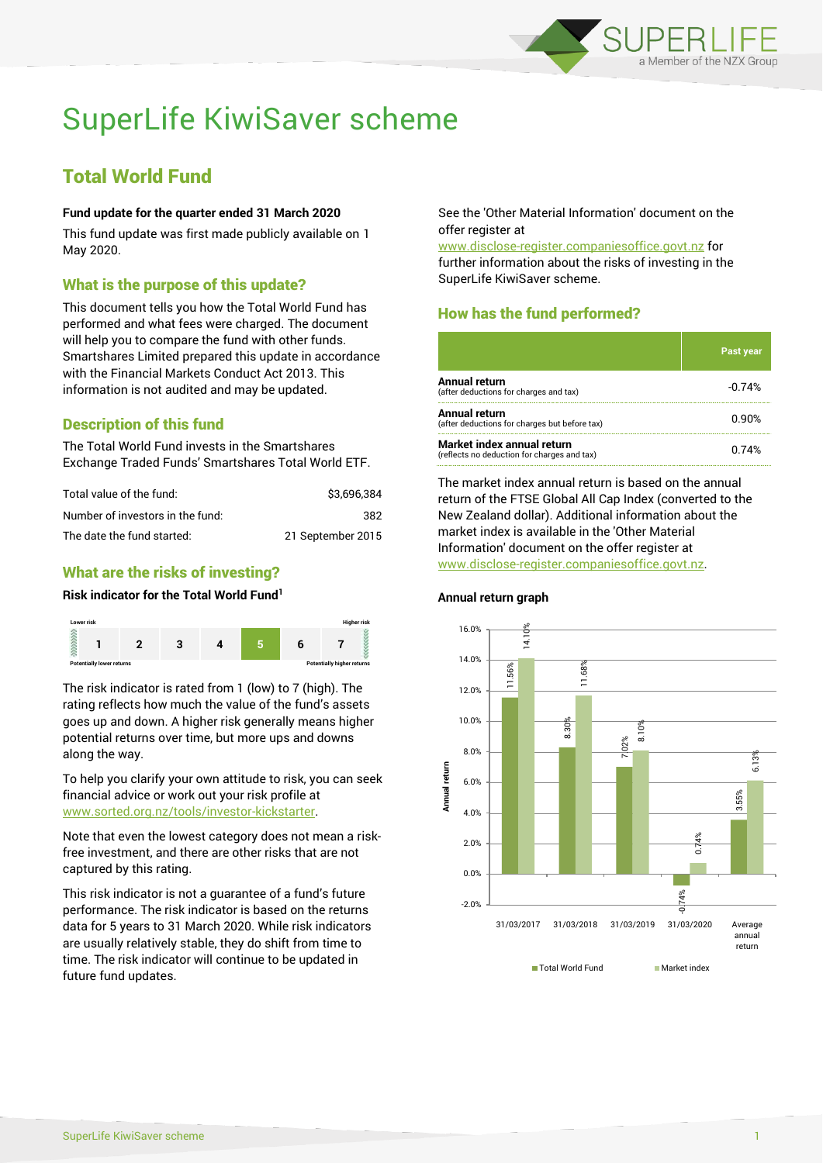

# SuperLife KiwiSaver scheme

## Total World Fund

#### **Fund update for the quarter ended 31 March 2020**

This fund update was first made publicly available on 1 May 2020.

#### What is the purpose of this update?

This document tells you how the Total World Fund has performed and what fees were charged. The document will help you to compare the fund with other funds. Smartshares Limited prepared this update in accordance with the Financial Markets Conduct Act 2013. This information is not audited and may be updated.

## Description of this fund

The Total World Fund invests in the Smartshares Exchange Traded Funds' Smartshares Total World ETF.

| Total value of the fund:         | \$3.696.384       |
|----------------------------------|-------------------|
| Number of investors in the fund: | 382               |
| The date the fund started:       | 21 September 2015 |

## What are the risks of investing?

#### **Risk indicator for the Total World Fund<sup>1</sup>**



The risk indicator is rated from 1 (low) to 7 (high). The rating reflects how much the value of the fund's assets goes up and down. A higher risk generally means higher potential returns over time, but more ups and downs along the way.

To help you clarify your own attitude to risk, you can seek financial advice or work out your risk profile at [www.sorted.org.nz/tools/investor-kickstarter.](http://www.sorted.org.nz/tools/investor-kickstarter)

Note that even the lowest category does not mean a riskfree investment, and there are other risks that are not captured by this rating.

This risk indicator is not a guarantee of a fund's future performance. The risk indicator is based on the returns data for 5 years to 31 March 2020. While risk indicators are usually relatively stable, they do shift from time to time. The risk indicator will continue to be updated in future fund updates.

See the 'Other Material Information' document on the offer register at

www.disclose-register.companiesoffice.govt.nz for further information about the risks of investing in the SuperLife KiwiSaver scheme.

## How has the fund performed?

|                                                                           | Past year |
|---------------------------------------------------------------------------|-----------|
| Annual return<br>(after deductions for charges and tax)                   | $-0.74%$  |
| Annual return<br>(after deductions for charges but before tax)            | 0.90%     |
| Market index annual return<br>(reflects no deduction for charges and tax) | በ 74%     |

The market index annual return is based on the annual return of the FTSE Global All Cap Index (converted to the New Zealand dollar). Additional information about the market index is available in the 'Other Material Information' document on the offer register at www.disclose-register.companiesoffice.govt.nz.



#### **Annual return graph**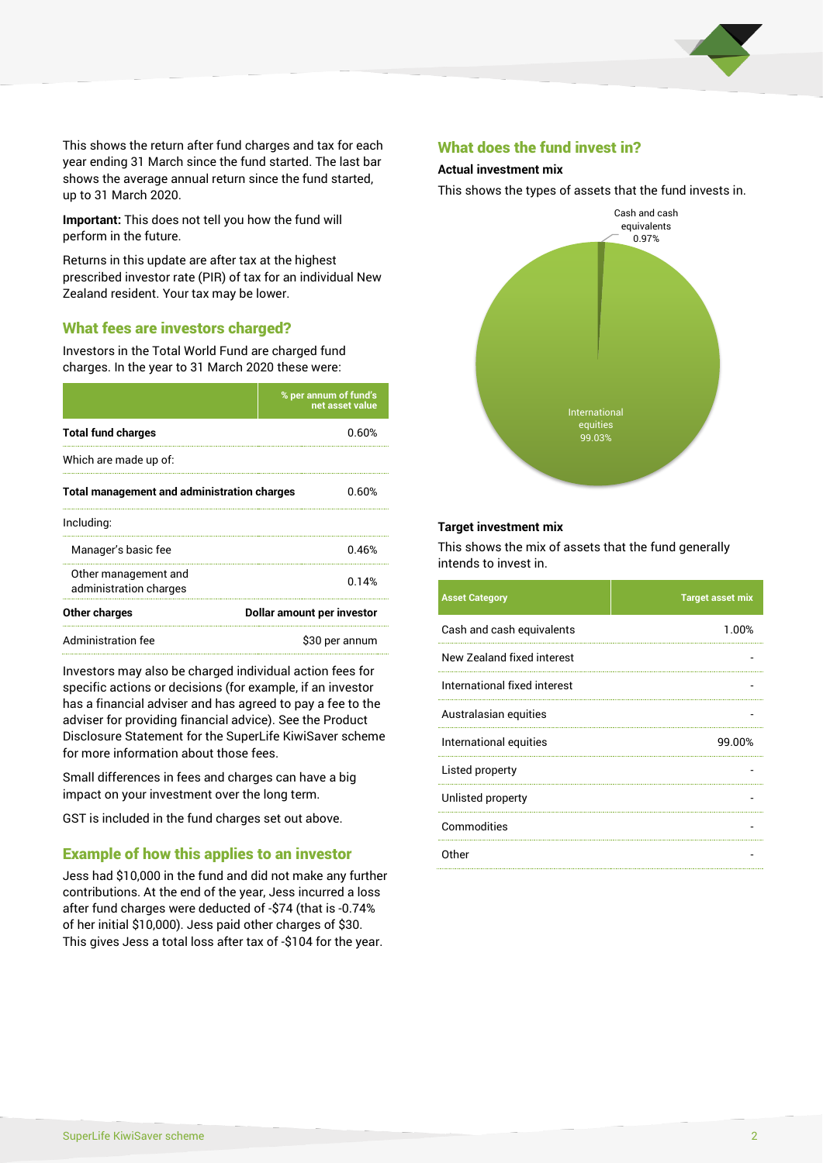

This shows the return after fund charges and tax for each year ending 31 March since the fund started. The last bar shows the average annual return since the fund started, up to 31 March 2020.

**Important:** This does not tell you how the fund will perform in the future.

Returns in this update are after tax at the highest prescribed investor rate (PIR) of tax for an individual New Zealand resident. Your tax may be lower.

#### What fees are investors charged?

Investors in the Total World Fund are charged fund charges. In the year to 31 March 2020 these were:

|                                                    | % per annum of fund's<br>net asset value |  |
|----------------------------------------------------|------------------------------------------|--|
| <b>Total fund charges</b>                          | 0.60%                                    |  |
| Which are made up of:                              |                                          |  |
| <b>Total management and administration charges</b> | 0.60%                                    |  |
| Including:                                         |                                          |  |
| Manager's basic fee                                | 0.46%                                    |  |
| Other management and<br>administration charges     | 0.14%                                    |  |
| Other charges                                      | Dollar amount per investor               |  |
| Administration fee                                 | \$30 per annum                           |  |

Investors may also be charged individual action fees for specific actions or decisions (for example, if an investor has a financial adviser and has agreed to pay a fee to the adviser for providing financial advice). See the Product Disclosure Statement for the SuperLife KiwiSaver scheme for more information about those fees.

Small differences in fees and charges can have a big impact on your investment over the long term.

GST is included in the fund charges set out above.

#### Example of how this applies to an investor

Jess had \$10,000 in the fund and did not make any further contributions. At the end of the year, Jess incurred a loss after fund charges were deducted of -\$74 (that is -0.74% of her initial \$10,000). Jess paid other charges of \$30. This gives Jess a total loss after tax of -\$104 for the year.

#### What does the fund invest in?

#### **Actual investment mix**

This shows the types of assets that the fund invests in.



#### **Target investment mix**

This shows the mix of assets that the fund generally intends to invest in.

| <b>Asset Category</b>        | <b>Target asset mix</b> |
|------------------------------|-------------------------|
| Cash and cash equivalents    | 1.00%                   |
| New Zealand fixed interest   |                         |
| International fixed interest |                         |
| Australasian equities        |                         |
| International equities       | 99.00%                  |
| Listed property              |                         |
| Unlisted property            |                         |
| Commodities                  |                         |
| Other                        |                         |